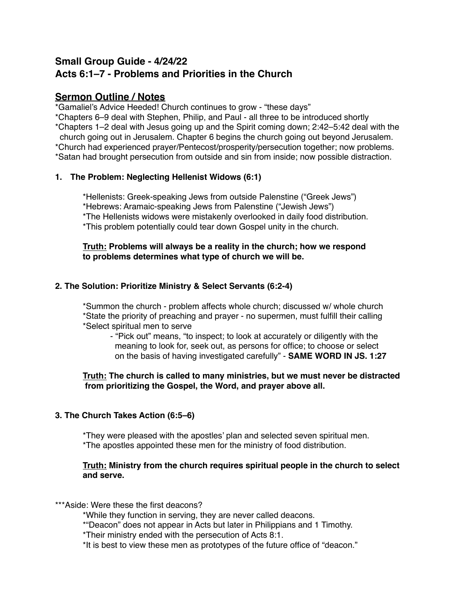# **Small Group Guide - 4/24/22 Acts 6:1–7 - Problems and Priorities in the Church**

# **Sermon Outline / Notes**

\*Gamaliel's Advice Heeded! Church continues to grow - "these days"

\*Chapters 6–9 deal with Stephen, Philip, and Paul - all three to be introduced shortly

\*Chapters 1–2 deal with Jesus going up and the Spirit coming down; 2:42–5:42 deal with the

church going out in Jerusalem. Chapter 6 begins the church going out beyond Jerusalem.

\*Church had experienced prayer/Pentecost/prosperity/persecution together; now problems. \*Satan had brought persecution from outside and sin from inside; now possible distraction.

# **1. The Problem: Neglecting Hellenist Widows (6:1)**

\*Hellenists: Greek-speaking Jews from outside Palenstine ("Greek Jews") \*Hebrews: Aramaic-speaking Jews from Palenstine ("Jewish Jews") \*The Hellenists widows were mistakenly overlooked in daily food distribution. \*This problem potentially could tear down Gospel unity in the church.

#### **Truth: Problems will always be a reality in the church; how we respond to problems determines what type of church we will be.**

# **2. The Solution: Prioritize Ministry & Select Servants (6:2-4)**

\*Summon the church - problem affects whole church; discussed w/ whole church \*State the priority of preaching and prayer - no supermen, must fulfill their calling \*Select spiritual men to serve

- "Pick out" means, "to inspect; to look at accurately or diligently with the meaning to look for, seek out, as persons for office; to choose or select on the basis of having investigated carefully" - **SAME WORD IN JS. 1:27**

#### **Truth: The church is called to many ministries, but we must never be distracted from prioritizing the Gospel, the Word, and prayer above all.**

#### **3. The Church Takes Action (6:5–6)**

\*They were pleased with the apostles' plan and selected seven spiritual men. \*The apostles appointed these men for the ministry of food distribution.

#### **Truth: Ministry from the church requires spiritual people in the church to select and serve.**

\*\*\*Aside: Were these the first deacons?

\*While they function in serving, they are never called deacons.

\*"Deacon" does not appear in Acts but later in Philippians and 1 Timothy.

\*Their ministry ended with the persecution of Acts 8:1.

\*It is best to view these men as prototypes of the future office of "deacon."